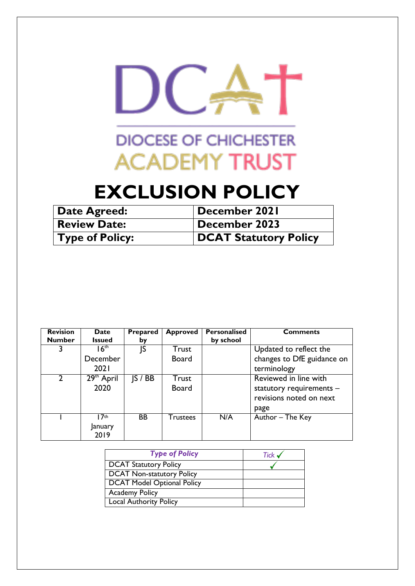

# **EXCLUSION POLICY**

| Date Agreed:           | December 2021                |
|------------------------|------------------------------|
| <b>Review Date:</b>    | December 2023                |
| $\mid$ Type of Policy: | <b>DCAT Statutory Policy</b> |

| <b>Revision</b> | <b>Date</b>      | <b>Prepared</b> | <b>Approved</b> | <b>Personalised</b> | <b>Comments</b>            |
|-----------------|------------------|-----------------|-----------------|---------------------|----------------------------|
| <b>Number</b>   | <b>Issued</b>    | by              |                 | by school           |                            |
|                 | $16^{\text{th}}$ | JS              | <b>Trust</b>    |                     | Updated to reflect the     |
|                 | December         |                 | <b>Board</b>    |                     | changes to DfE guidance on |
|                 | 202 I            |                 |                 |                     | terminology                |
|                 | $29th$ April     | S / BB          | <b>Trust</b>    |                     | Reviewed in line with      |
|                 | 2020             |                 | <b>Board</b>    |                     | statutory requirements -   |
|                 |                  |                 |                 |                     | revisions noted on next    |
|                 |                  |                 |                 |                     | page                       |
|                 | 17 <sup>th</sup> | <b>BB</b>       | <b>Trustees</b> | N/A                 | Author – The Key           |
|                 | January          |                 |                 |                     |                            |
|                 | 2019             |                 |                 |                     |                            |

| <b>Type of Policy</b>             | Tick $\checkmark$ |
|-----------------------------------|-------------------|
| <b>DCAT Statutory Policy</b>      |                   |
| <b>DCAT Non-statutory Policy</b>  |                   |
| <b>DCAT Model Optional Policy</b> |                   |
| <b>Academy Policy</b>             |                   |
| <b>Local Authority Policy</b>     |                   |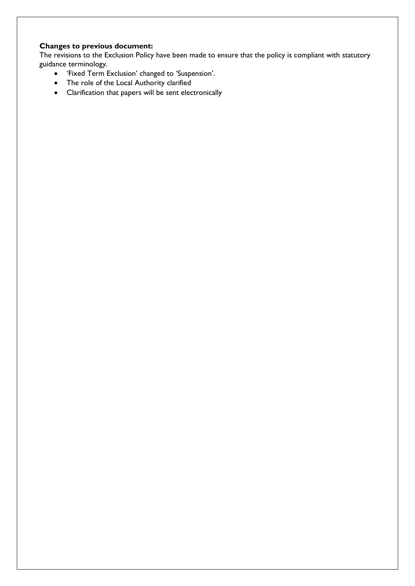### **Changes to previous document:**

The revisions to the Exclusion Policy have been made to ensure that the policy is compliant with statutory guidance terminology.

- 'Fixed Term Exclusion' changed to 'Suspension'.
- The role of the Local Authority clarified
- Clarification that papers will be sent electronically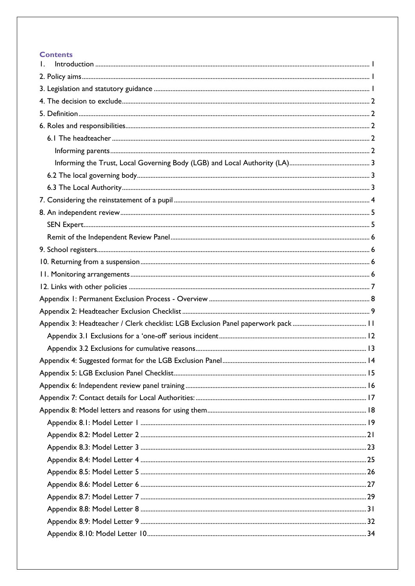### **Contents**

| Ι. |  |
|----|--|
|    |  |
|    |  |
|    |  |
|    |  |
|    |  |
|    |  |
|    |  |
|    |  |
|    |  |
|    |  |
|    |  |
|    |  |
|    |  |
|    |  |
|    |  |
|    |  |
|    |  |
|    |  |
|    |  |
|    |  |
|    |  |
|    |  |
|    |  |
|    |  |
|    |  |
|    |  |
|    |  |
|    |  |
|    |  |
|    |  |
|    |  |
|    |  |
|    |  |
|    |  |
|    |  |
|    |  |
|    |  |
|    |  |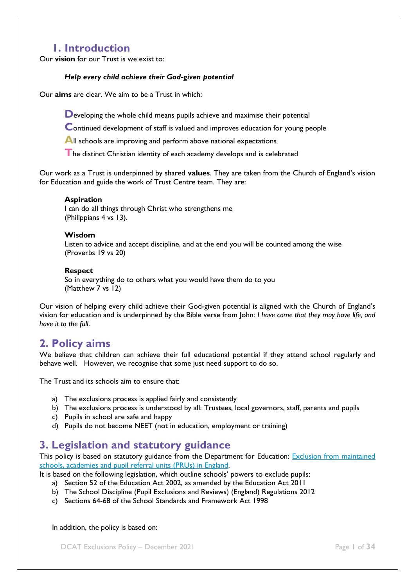# **1. Introduction**

<span id="page-3-0"></span>Our **vision** for our Trust is we exist to:

#### *Help every child achieve their God-given potential*

Our **aims** are clear. We aim to be a Trust in which:

**D**eveloping the whole child means pupils achieve and maximise their potential

**C**ontinued development of staff is valued and improves education for young people

**All schools are improving and perform above national expectations** 

**T**he distinct Christian identity of each academy develops and is celebrated

Our work as a Trust is underpinned by shared **values**. They are taken from the Church of England's vision for Education and guide the work of Trust Centre team. They are:

#### **Aspiration**

I can do all things through Christ who strengthens me (Philippians 4 vs 13).

#### **Wisdom**

Listen to advice and accept discipline, and at the end you will be counted among the wise (Proverbs 19 vs 20)

#### **Respect**

So in everything do to others what you would have them do to you (Matthew 7 vs 12)

Our vision of helping every child achieve their God-given potential is aligned with the Church of England's vision for education and is underpinned by the Bible verse from John: *I have come that they may have life, and have it to the full*.

# <span id="page-3-1"></span>**2. Policy aims**

We believe that children can achieve their full educational potential if they attend school regularly and behave well. However, we recognise that some just need support to do so.

The Trust and its schools aim to ensure that:

- a) The exclusions process is applied fairly and consistently
- b) The exclusions process is understood by all: Trustees, local governors, staff, parents and pupils
- c) Pupils in school are safe and happy
- d) Pupils do not become NEET (not in education, employment or training)

# <span id="page-3-2"></span>**3. Legislation and statutory guidance**

This policy is based on statutory guidance from the Department for Education: Exclusion from maintained [schools, academies and pupil referral units \(PRUs\) in England.](https://www.gov.uk/government/publications/school-exclusion) 

It is based on the following legislation, which outline schools' powers to exclude pupils:

- a) Section 52 of the [Education Act 2002,](http://www.legislation.gov.uk/ukpga/2002/32/section/52) as amended by the [Education Act 2011](http://www.legislation.gov.uk/ukpga/2011/21/contents/enacted)
- b) [The School Discipline \(Pupil Exclusions and Reviews\) \(England\) Regulations 2012](http://www.legislation.gov.uk/uksi/2012/1033/made)
- c) Sections 64-68 of the [School Standards and Framework Act 1998](http://www.legislation.gov.uk/ukpga/1998/31)

In addition, the policy is based on:

**DCAT Exclusions Policy – December 2021 Page 1 of 34**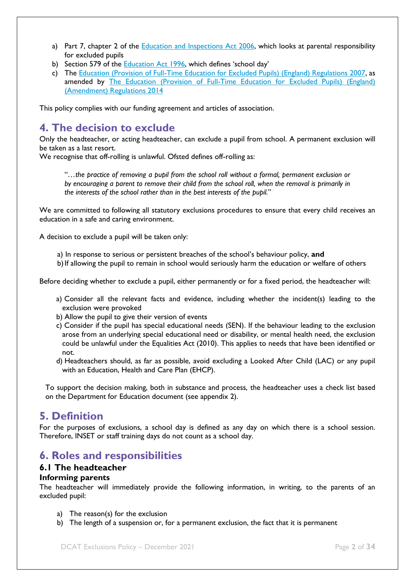- a) Part 7, chapter 2 of the Education [and Inspections Act 2006,](http://www.legislation.gov.uk/ukpga/2006/40/part/7/chapter/2) which looks at parental responsibility for excluded pupils
- b) Section 579 of the **Education Act 1996**, which defines 'school day'
- c) The [Education \(Provision of Full-Time Education for Excluded Pupils\) \(England\) Regulations 2007,](http://www.legislation.gov.uk/uksi/2007/1870/contents/made) as amended by [The Education \(Provision of Full-Time Education for Excluded Pupils\) \(England\)](http://www.legislation.gov.uk/uksi/2014/3216/contents/made)  [\(Amendment\) Regulations 2014](http://www.legislation.gov.uk/uksi/2014/3216/contents/made)

This policy complies with our funding agreement and articles of association.

# <span id="page-4-0"></span>**4. The decision to exclude**

Only the headteacher, or acting headteacher, can exclude a pupil from school. A permanent exclusion will be taken as a last resort.

We recognise that off-rolling is unlawful. Ofsted defines off-rolling as:

"*…the practice of removing a pupil from the school roll without a formal, permanent exclusion or by encouraging a parent to remove their child from the school roll, when the removal is primarily in the interests of the school rather than in the best interests of the pupil.*"

We are committed to following all statutory exclusions procedures to ensure that every child receives an education in a safe and caring environment.

A decision to exclude a pupil will be taken only:

- a) In response to serious or persistent breaches of the school's behaviour policy, **and**
- b) If allowing the pupil to remain in school would seriously harm the education or welfare of others

Before deciding whether to exclude a pupil, either permanently or for a fixed period, the headteacher will:

- a) Consider all the relevant facts and evidence, including whether the incident(s) leading to the exclusion were provoked
- b) Allow the pupil to give their version of events
- c) Consider if the pupil has special educational needs (SEN). If the behaviour leading to the exclusion arose from an underlying special educational need or disability, or mental health need, the exclusion could be unlawful under the Equalities Act (2010). This applies to needs that have been identified or not.
- d) Headteachers should, as far as possible, avoid excluding a Looked After Child (LAC) or any pupil with an Education, Health and Care Plan (EHCP).

To support the decision making, both in substance and process, the headteacher uses a check list based on the Department for Education document (see appendix 2).

# <span id="page-4-1"></span>**5. Definition**

For the purposes of exclusions, a school day is defined as any day on which there is a school session. Therefore, INSET or staff training days do not count as a school day.

### <span id="page-4-2"></span>**6. Roles and responsibilities**

#### <span id="page-4-3"></span>**6.1 The headteacher**

#### <span id="page-4-4"></span>**Informing parents**

The headteacher will immediately provide the following information, in writing, to the parents of an excluded pupil:

- a) The reason(s) for the exclusion
- b) The length of a suspension or, for a permanent exclusion, the fact that it is permanent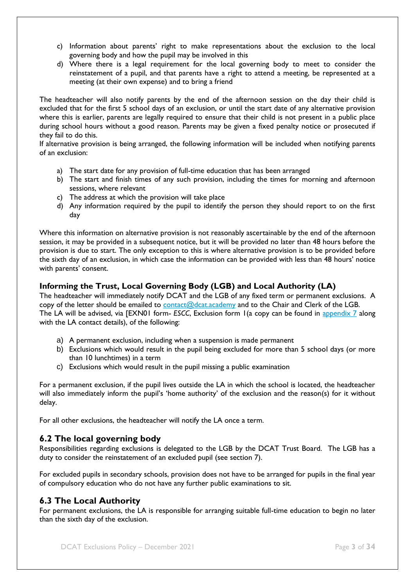- c) Information about parents' right to make representations about the exclusion to the local governing body and how the pupil may be involved in this
- d) Where there is a legal requirement for the local governing body to meet to consider the reinstatement of a pupil, and that parents have a right to attend a meeting, be represented at a meeting (at their own expense) and to bring a friend

The headteacher will also notify parents by the end of the afternoon session on the day their child is excluded that for the first 5 school days of an exclusion, or until the start date of any alternative provision where this is earlier, parents are legally required to ensure that their child is not present in a public place during school hours without a good reason. Parents may be given a fixed penalty notice or prosecuted if they fail to do this.

If alternative provision is being arranged, the following information will be included when notifying parents of an exclusion:

- a) The start date for any provision of full-time education that has been arranged
- b) The start and finish times of any such provision, including the times for morning and afternoon sessions, where relevant
- c) The address at which the provision will take place
- d) Any information required by the pupil to identify the person they should report to on the first day

Where this information on alternative provision is not reasonably ascertainable by the end of the afternoon session, it may be provided in a subsequent notice, but it will be provided no later than 48 hours before the provision is due to start. The only exception to this is where alternative provision is to be provided before the sixth day of an exclusion, in which case the information can be provided with less than 48 hours' notice with parents' consent.

### <span id="page-5-0"></span>**Informing the Trust, Local Governing Body (LGB) and Local Authority (LA)**

The headteacher will immediately notify DCAT and the LGB of any fixed term or permanent exclusions. A copy of the letter should be emailed to [contact@dcat.academy](mailto:contact@dcat.academy) and to the Chair and Clerk of the LGB. The LA will be advised, via [EXN01 form- *ESCC*, Exclusion form 1(a copy can be found in [appendix 7](#page-19-0) along with the LA contact details), of the following:

- a) A permanent exclusion, including when a suspension is made permanent
- b) Exclusions which would result in the pupil being excluded for more than 5 school days (or more than 10 lunchtimes) in a term
- c) Exclusions which would result in the pupil missing a public examination

For a permanent exclusion, if the pupil lives outside the LA in which the school is located, the headteacher will also immediately inform the pupil's 'home authority' of the exclusion and the reason(s) for it without delay.

For all other exclusions, the headteacher will notify the LA once a term.

### <span id="page-5-1"></span>**6.2 The local governing body**

Responsibilities regarding exclusions is delegated to the LGB by the DCAT Trust Board. The LGB has a duty to consider the reinstatement of an excluded pupil (see section 7).

For excluded pupils in secondary schools, provision does not have to be arranged for pupils in the final year of compulsory education who do not have any further public examinations to sit.

### <span id="page-5-2"></span>**6.3 The Local Authority**

For permanent exclusions, the LA is responsible for arranging suitable full-time education to begin no later than the sixth day of the exclusion.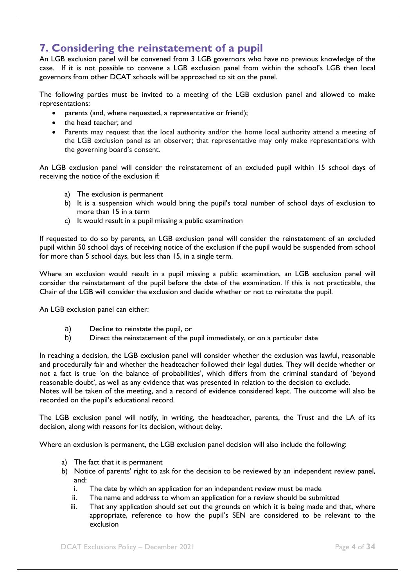# <span id="page-6-0"></span>**7. Considering the reinstatement of a pupil**

An LGB exclusion panel will be convened from 3 LGB governors who have no previous knowledge of the case. If it is not possible to convene a LGB exclusion panel from within the school's LGB then local governors from other DCAT schools will be approached to sit on the panel.

The following parties must be invited to a meeting of the LGB exclusion panel and allowed to make representations:

- parents (and, where requested, a representative or friend);
- the head teacher; and
- Parents may request that the local authority and/or the home local authority attend a meeting of the LGB exclusion panel as an observer; that representative may only make representations with the governing board's consent.

An LGB exclusion panel will consider the reinstatement of an excluded pupil within 15 school days of receiving the notice of the exclusion if:

- a) The exclusion is permanent
- b) It is a suspension which would bring the pupil's total number of school days of exclusion to more than 15 in a term
- c) It would result in a pupil missing a public examination

If requested to do so by parents, an LGB exclusion panel will consider the reinstatement of an excluded pupil within 50 school days of receiving notice of the exclusion if the pupil would be suspended from school for more than 5 school days, but less than 15, in a single term.

Where an exclusion would result in a pupil missing a public examination, an LGB exclusion panel will consider the reinstatement of the pupil before the date of the examination. If this is not practicable, the Chair of the LGB will consider the exclusion and decide whether or not to reinstate the pupil.

An LGB exclusion panel can either:

- a) Decline to reinstate the pupil, or
- b) Direct the reinstatement of the pupil immediately, or on a particular date

In reaching a decision, the LGB exclusion panel will consider whether the exclusion was lawful, reasonable and procedurally fair and whether the headteacher followed their legal duties. They will decide whether or not a fact is true 'on the balance of probabilities', which differs from the criminal standard of 'beyond reasonable doubt', as well as any evidence that was presented in relation to the decision to exclude. Notes will be taken of the meeting, and a record of evidence considered kept. The outcome will also be recorded on the pupil's educational record.

The LGB exclusion panel will notify, in writing, the headteacher, parents, the Trust and the LA of its decision, along with reasons for its decision, without delay.

Where an exclusion is permanent, the LGB exclusion panel decision will also include the following:

- a) The fact that it is permanent
- b) Notice of parents' right to ask for the decision to be reviewed by an independent review panel, and:
	- i. The date by which an application for an independent review must be made
	- ii. The name and address to whom an application for a review should be submitted
	- iii. That any application should set out the grounds on which it is being made and that, where appropriate, reference to how the pupil's SEN are considered to be relevant to the exclusion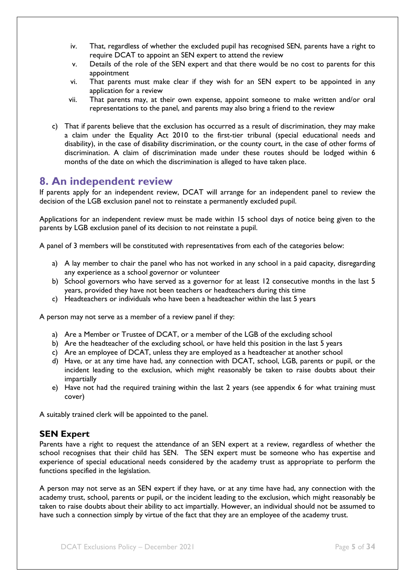- iv. That, regardless of whether the excluded pupil has recognised SEN, parents have a right to require DCAT to appoint an SEN expert to attend the review
- v. Details of the role of the SEN expert and that there would be no cost to parents for this appointment
- vi. That parents must make clear if they wish for an SEN expert to be appointed in any application for a review
- vii. That parents may, at their own expense, appoint someone to make written and/or oral representations to the panel, and parents may also bring a friend to the review
- c) That if parents believe that the exclusion has occurred as a result of discrimination, they may make a claim under the Equality Act 2010 to the first-tier tribunal (special educational needs and disability), in the case of disability discrimination, or the county court, in the case of other forms of discrimination. A claim of discrimination made under these routes should be lodged within 6 months of the date on which the discrimination is alleged to have taken place.

## <span id="page-7-0"></span>**8. An independent review**

If parents apply for an independent review, DCAT will arrange for an independent panel to review the decision of the LGB exclusion panel not to reinstate a permanently excluded pupil.

Applications for an independent review must be made within 15 school days of notice being given to the parents by LGB exclusion panel of its decision to not reinstate a pupil.

A panel of 3 members will be constituted with representatives from each of the categories below:

- a) A lay member to chair the panel who has not worked in any school in a paid capacity, disregarding any experience as a school governor or volunteer
- b) School governors who have served as a governor for at least 12 consecutive months in the last 5 years, provided they have not been teachers or headteachers during this time
- c) Headteachers or individuals who have been a headteacher within the last 5 years

A person may not serve as a member of a review panel if they:

- a) Are a Member or Trustee of DCAT, or a member of the LGB of the excluding school
- b) Are the headteacher of the excluding school, or have held this position in the last 5 years
- c) Are an employee of DCAT, unless they are employed as a headteacher at another school
- d) Have, or at any time have had, any connection with DCAT, school, LGB, parents or pupil, or the incident leading to the exclusion, which might reasonably be taken to raise doubts about their impartially
- e) Have not had the required training within the last 2 years (see appendix 6 for what training must cover)

A suitably trained clerk will be appointed to the panel.

### <span id="page-7-1"></span>**SEN Expert**

Parents have a right to request the attendance of an SEN expert at a review, regardless of whether the school recognises that their child has SEN. The SEN expert must be someone who has expertise and experience of special educational needs considered by the academy trust as appropriate to perform the functions specified in the legislation.

A person may not serve as an SEN expert if they have, or at any time have had, any connection with the academy trust, school, parents or pupil, or the incident leading to the exclusion, which might reasonably be taken to raise doubts about their ability to act impartially. However, an individual should not be assumed to have such a connection simply by virtue of the fact that they are an employee of the academy trust.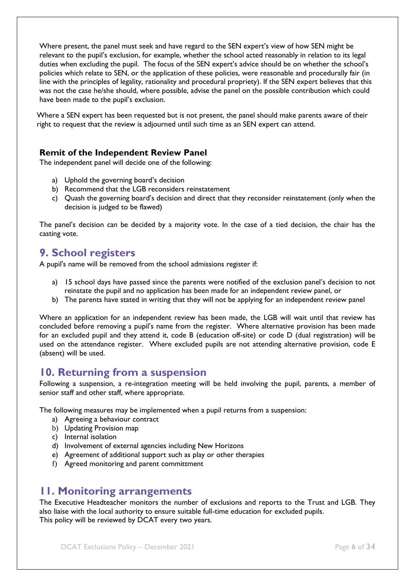Where present, the panel must seek and have regard to the SEN expert's view of how SEN might be relevant to the pupil's exclusion, for example, whether the school acted reasonably in relation to its legal duties when excluding the pupil. The focus of the SEN expert's advice should be on whether the school's policies which relate to SEN, or the application of these policies, were reasonable and procedurally fair (in line with the principles of legality, rationality and procedural propriety). If the SEN expert believes that this was not the case he/she should, where possible, advise the panel on the possible contribution which could have been made to the pupil's exclusion.

Where a SEN expert has been requested but is not present, the panel should make parents aware of their right to request that the review is adjourned until such time as an SEN expert can attend.

### <span id="page-8-0"></span>**Remit of the Independent Review Panel**

The independent panel will decide one of the following:

- a) Uphold the governing board's decision
- b) Recommend that the LGB reconsiders reinstatement
- c) Quash the governing board's decision and direct that they reconsider reinstatement (only when the decision is judged to be flawed)

The panel's decision can be decided by a majority vote. In the case of a tied decision, the chair has the casting vote.

### <span id="page-8-1"></span>**9. School registers**

A pupil's name will be removed from the school admissions register if:

- a) 15 school days have passed since the parents were notified of the exclusion panel's decision to not reinstate the pupil and no application has been made for an independent review panel, or
- b) The parents have stated in writing that they will not be applying for an independent review panel

Where an application for an independent review has been made, the LGB will wait until that review has concluded before removing a pupil's name from the register. Where alternative provision has been made for an excluded pupil and they attend it, code B (education off-site) or code D (dual registration) will be used on the attendance register. Where excluded pupils are not attending alternative provision, code E (absent) will be used.

### <span id="page-8-2"></span>**10. Returning from a suspension**

Following a suspension, a re-integration meeting will be held involving the pupil, parents, a member of senior staff and other staff, where appropriate.

The following measures may be implemented when a pupil returns from a suspension:

- a) Agreeing a behaviour contract
- b) Updating Provision map
- c) Internal isolation
- d) Involvement of external agencies including New Horizons
- e) Agreement of additional support such as play or other therapies
- f) Agreed monitoring and parent committment

### <span id="page-8-3"></span>**11. Monitoring arrangements**

The Executive Headteacher monitors the number of exclusions and reports to the Trust and LGB. They also liaise with the local authority to ensure suitable full-time education for excluded pupils. This policy will be reviewed by DCAT every two years.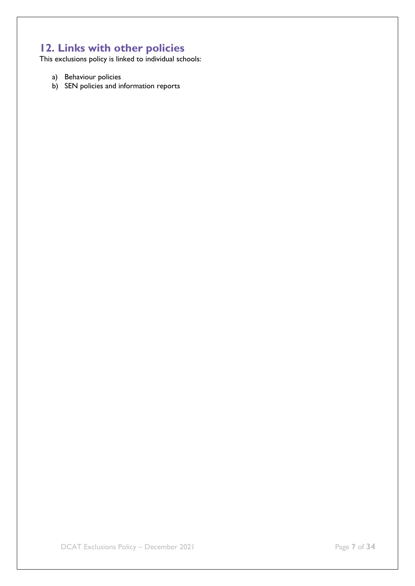# <span id="page-9-0"></span>**12. Links with other policies**

This exclusions policy is linked to individual schools:

- a) Behaviour policies
- b) SEN policies and information reports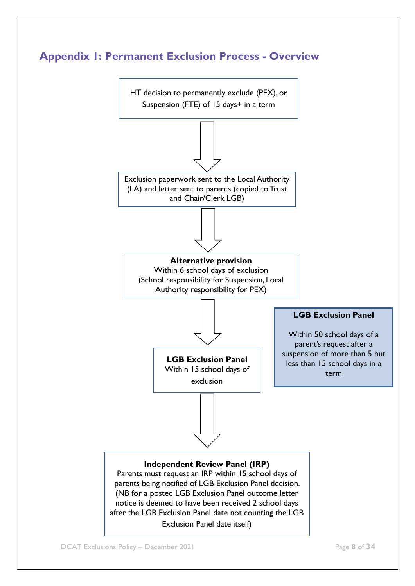<span id="page-10-0"></span>

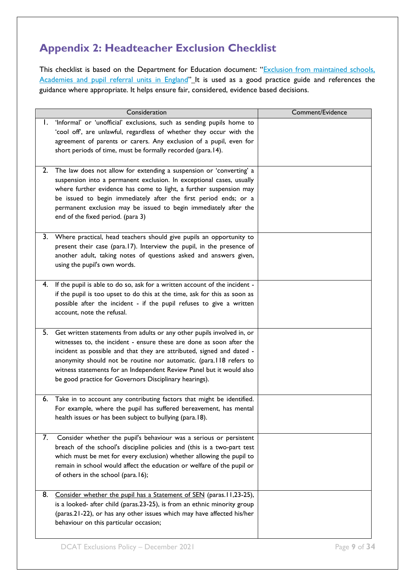# <span id="page-11-0"></span>**Appendix 2: Headteacher Exclusion Checklist**

This checklist is based on the Department for Education document: "Exclusion from maintained schools, [Academies and pupil referral units in England](https://www.gov.uk/government/publications/school-exclusion)" It is used as a good practice guide and references the guidance where appropriate. It helps ensure fair, considered, evidence based decisions.

|    | Consideration                                                                                                                                                                                                                                                                                                                                                                                                                   | Comment/Evidence |
|----|---------------------------------------------------------------------------------------------------------------------------------------------------------------------------------------------------------------------------------------------------------------------------------------------------------------------------------------------------------------------------------------------------------------------------------|------------------|
| Ι. | 'Informal' or 'unofficial' exclusions, such as sending pupils home to<br>'cool off, are unlawful, regardless of whether they occur with the<br>agreement of parents or carers. Any exclusion of a pupil, even for<br>short periods of time, must be formally recorded (para.14).                                                                                                                                                |                  |
| 2. | The law does not allow for extending a suspension or 'converting' a<br>suspension into a permanent exclusion. In exceptional cases, usually<br>where further evidence has come to light, a further suspension may<br>be issued to begin immediately after the first period ends; or a<br>permanent exclusion may be issued to begin immediately after the<br>end of the fixed period. (para 3)                                  |                  |
| 3. | Where practical, head teachers should give pupils an opportunity to<br>present their case (para.17). Interview the pupil, in the presence of<br>another adult, taking notes of questions asked and answers given,<br>using the pupil's own words.                                                                                                                                                                               |                  |
| 4. | If the pupil is able to do so, ask for a written account of the incident -<br>if the pupil is too upset to do this at the time, ask for this as soon as<br>possible after the incident - if the pupil refuses to give a written<br>account, note the refusal.                                                                                                                                                                   |                  |
| 5. | Get written statements from adults or any other pupils involved in, or<br>witnesses to, the incident - ensure these are done as soon after the<br>incident as possible and that they are attributed, signed and dated -<br>anonymity should not be routine nor automatic. (para.118 refers to<br>witness statements for an Independent Review Panel but it would also<br>be good practice for Governors Disciplinary hearings). |                  |
| 6. | Take in to account any contributing factors that might be identified.<br>For example, where the pupil has suffered bereavement, has mental<br>health issues or has been subject to bullying (para.18).                                                                                                                                                                                                                          |                  |
| 7. | Consider whether the pupil's behaviour was a serious or persistent<br>breach of the school's discipline policies and (this is a two-part test<br>which must be met for every exclusion) whether allowing the pupil to<br>remain in school would affect the education or welfare of the pupil or<br>of others in the school (para.16);                                                                                           |                  |
| 8. | Consider whether the pupil has a Statement of SEN (paras.11,23-25),<br>is a looked- after child (paras.23-25), is from an ethnic minority group<br>(paras.21-22), or has any other issues which may have affected his/her<br>behaviour on this particular occasion;                                                                                                                                                             |                  |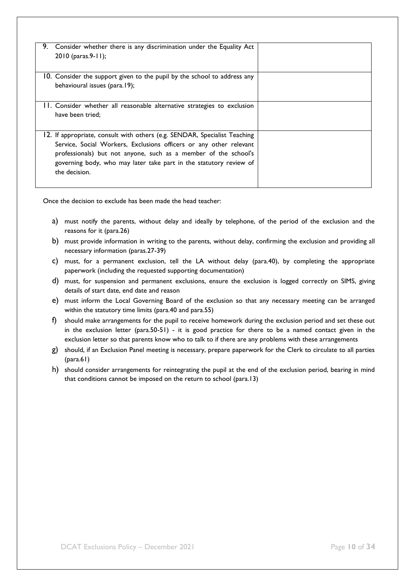| 9. | Consider whether there is any discrimination under the Equality Act<br>2010 (paras.9-11);                                                                                                                                                                                                                 |  |
|----|-----------------------------------------------------------------------------------------------------------------------------------------------------------------------------------------------------------------------------------------------------------------------------------------------------------|--|
|    | 10. Consider the support given to the pupil by the school to address any<br>behavioural issues (para.19);                                                                                                                                                                                                 |  |
|    | 11. Consider whether all reasonable alternative strategies to exclusion<br>have been tried:                                                                                                                                                                                                               |  |
|    | 12. If appropriate, consult with others (e.g. SENDAR, Specialist Teaching<br>Service, Social Workers, Exclusions officers or any other relevant<br>professionals) but not anyone, such as a member of the school's<br>governing body, who may later take part in the statutory review of<br>the decision. |  |

Once the decision to exclude has been made the head teacher:

- a) must notify the parents, without delay and ideally by telephone, of the period of the exclusion and the reasons for it (para.26)
- b) must provide information in writing to the parents, without delay, confirming the exclusion and providing all necessary information (paras.27-39)
- c) must, for a permanent exclusion, tell the LA without delay (para.40), by completing the appropriate paperwork (including the requested supporting documentation)
- d) must, for suspension and permanent exclusions, ensure the exclusion is logged correctly on SIMS, giving details of start date, end date and reason
- e) must inform the Local Governing Board of the exclusion so that any necessary meeting can be arranged within the statutory time limits (para.40 and para.55)
- f) should make arrangements for the pupil to receive homework during the exclusion period and set these out in the exclusion letter (para.50-51) - it is good practice for there to be a named contact given in the exclusion letter so that parents know who to talk to if there are any problems with these arrangements
- g) should, if an Exclusion Panel meeting is necessary, prepare paperwork for the Clerk to circulate to all parties (para.61)
- h) should consider arrangements for reintegrating the pupil at the end of the exclusion period, bearing in mind that conditions cannot be imposed on the return to school (para.13)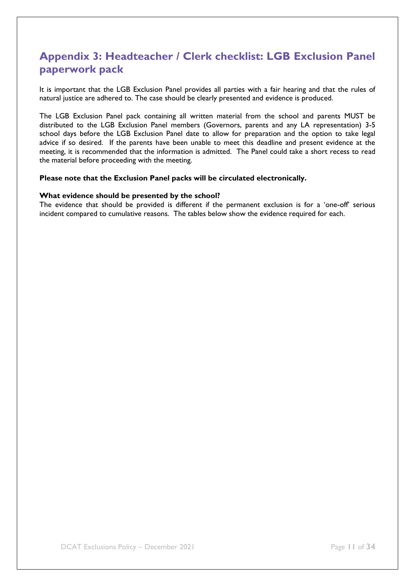# <span id="page-13-0"></span>**Appendix 3: Headteacher / Clerk checklist: LGB Exclusion Panel paperwork pack**

It is important that the LGB Exclusion Panel provides all parties with a fair hearing and that the rules of natural justice are adhered to. The case should be clearly presented and evidence is produced.

The LGB Exclusion Panel pack containing all written material from the school and parents MUST be distributed to the LGB Exclusion Panel members (Governors, parents and any LA representation) 3-5 school days before the LGB Exclusion Panel date to allow for preparation and the option to take legal advice if so desired. If the parents have been unable to meet this deadline and present evidence at the meeting, it is recommended that the information is admitted. The Panel could take a short recess to read the material before proceeding with the meeting.

#### **Please note that the Exclusion Panel packs will be circulated electronically.**

#### **What evidence should be presented by the school?**

The evidence that should be provided is different if the permanent exclusion is for a 'one-off' serious incident compared to cumulative reasons. The tables below show the evidence required for each.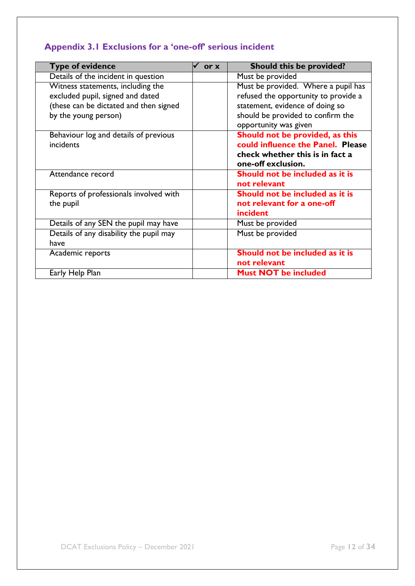# <span id="page-14-0"></span>**Appendix 3.1 Exclusions for a 'one-off' serious incident**

| <b>Type of evidence</b>                                                                                                                 | or x | <b>Should this be provided?</b>                                                                                                                                              |
|-----------------------------------------------------------------------------------------------------------------------------------------|------|------------------------------------------------------------------------------------------------------------------------------------------------------------------------------|
| Details of the incident in question                                                                                                     |      | Must be provided                                                                                                                                                             |
| Witness statements, including the<br>excluded pupil, signed and dated<br>(these can be dictated and then signed<br>by the young person) |      | Must be provided. Where a pupil has<br>refused the opportunity to provide a<br>statement, evidence of doing so<br>should be provided to confirm the<br>opportunity was given |
| Behaviour log and details of previous<br>incidents                                                                                      |      | Should not be provided, as this<br>could influence the Panel. Please<br>check whether this is in fact a<br>one-off exclusion.                                                |
| Attendance record                                                                                                                       |      | Should not be included as it is<br>not relevant                                                                                                                              |
| Reports of professionals involved with<br>the pupil                                                                                     |      | Should not be included as it is<br>not relevant for a one-off<br>incident                                                                                                    |
| Details of any SEN the pupil may have                                                                                                   |      | Must be provided                                                                                                                                                             |
| Details of any disability the pupil may<br>have                                                                                         |      | Must be provided                                                                                                                                                             |
| Academic reports                                                                                                                        |      | Should not be included as it is<br>not relevant                                                                                                                              |
| Early Help Plan                                                                                                                         |      | <b>Must NOT be included</b>                                                                                                                                                  |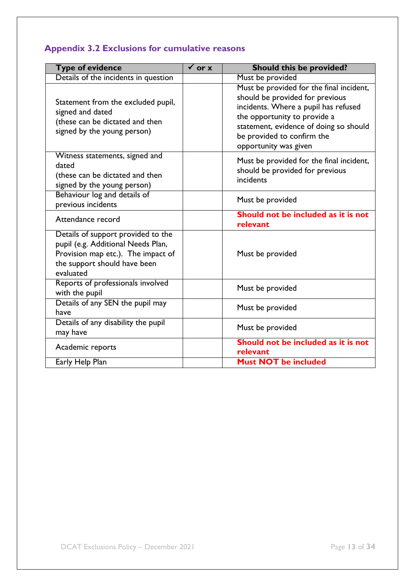# <span id="page-15-0"></span>**Appendix 3.2 Exclusions for cumulative reasons**

| <b>Type of evidence</b>                                                                                                                                     | $\checkmark$ or x | <b>Should this be provided?</b>                                                                                                                                                                                                                      |
|-------------------------------------------------------------------------------------------------------------------------------------------------------------|-------------------|------------------------------------------------------------------------------------------------------------------------------------------------------------------------------------------------------------------------------------------------------|
| Details of the incidents in question                                                                                                                        |                   | Must be provided                                                                                                                                                                                                                                     |
| Statement from the excluded pupil,<br>signed and dated<br>(these can be dictated and then<br>signed by the young person)                                    |                   | Must be provided for the final incident,<br>should be provided for previous<br>incidents. Where a pupil has refused<br>the opportunity to provide a<br>statement, evidence of doing so should<br>be provided to confirm the<br>opportunity was given |
| Witness statements, signed and<br>dated<br>(these can be dictated and then<br>signed by the young person)                                                   |                   | Must be provided for the final incident,<br>should be provided for previous<br>incidents                                                                                                                                                             |
| Behaviour log and details of<br>previous incidents                                                                                                          |                   | Must be provided                                                                                                                                                                                                                                     |
| Attendance record                                                                                                                                           |                   | Should not be included as it is not<br>relevant                                                                                                                                                                                                      |
| Details of support provided to the<br>pupil (e.g. Additional Needs Plan,<br>Provision map etc.). The impact of<br>the support should have been<br>evaluated |                   | Must be provided                                                                                                                                                                                                                                     |
| Reports of professionals involved<br>with the pupil                                                                                                         |                   | Must be provided                                                                                                                                                                                                                                     |
| Details of any SEN the pupil may<br>have                                                                                                                    |                   | Must be provided                                                                                                                                                                                                                                     |
| Details of any disability the pupil<br>may have                                                                                                             |                   | Must be provided                                                                                                                                                                                                                                     |
| Academic reports                                                                                                                                            |                   | Should not be included as it is not<br>relevant                                                                                                                                                                                                      |
| Early Help Plan                                                                                                                                             |                   | <b>Must NOT be included</b>                                                                                                                                                                                                                          |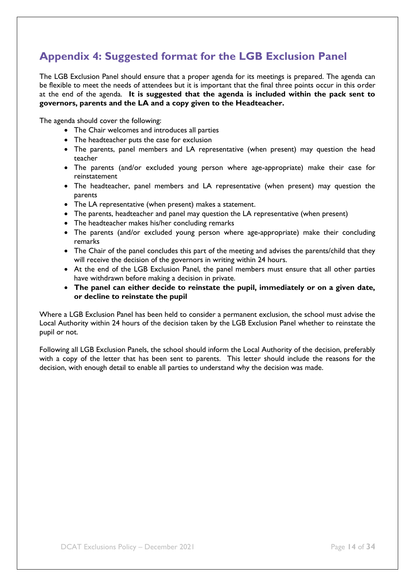# <span id="page-16-0"></span>**Appendix 4: Suggested format for the LGB Exclusion Panel**

The LGB Exclusion Panel should ensure that a proper agenda for its meetings is prepared. The agenda can be flexible to meet the needs of attendees but it is important that the final three points occur in this order at the end of the agenda. **It is suggested that the agenda is included within the pack sent to governors, parents and the LA and a copy given to the Headteacher.**

The agenda should cover the following:

- The Chair welcomes and introduces all parties
- The headteacher puts the case for exclusion
- The parents, panel members and LA representative (when present) may question the head teacher
- The parents (and/or excluded young person where age-appropriate) make their case for reinstatement
- The headteacher, panel members and LA representative (when present) may question the parents
- The LA representative (when present) makes a statement.
- The parents, headteacher and panel may question the LA representative (when present)
- The headteacher makes his/her concluding remarks
- The parents (and/or excluded young person where age-appropriate) make their concluding remarks
- The Chair of the panel concludes this part of the meeting and advises the parents/child that they will receive the decision of the governors in writing within 24 hours.
- At the end of the LGB Exclusion Panel, the panel members must ensure that all other parties have withdrawn before making a decision in private.
- **The panel can either decide to reinstate the pupil, immediately or on a given date, or decline to reinstate the pupil**

Where a LGB Exclusion Panel has been held to consider a permanent exclusion, the school must advise the Local Authority within 24 hours of the decision taken by the LGB Exclusion Panel whether to reinstate the pupil or not.

Following all LGB Exclusion Panels, the school should inform the Local Authority of the decision, preferably with a copy of the letter that has been sent to parents. This letter should include the reasons for the decision, with enough detail to enable all parties to understand why the decision was made.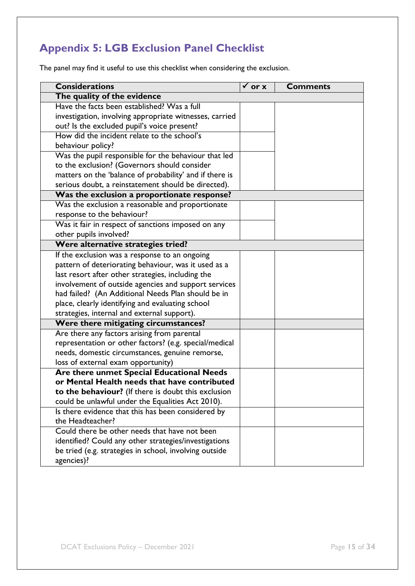# <span id="page-17-0"></span>**Appendix 5: LGB Exclusion Panel Checklist**

The panel may find it useful to use this checklist when considering the exclusion.

| <b>Considerations</b>                                   | $\overline{v}$ or x | <b>Comments</b> |
|---------------------------------------------------------|---------------------|-----------------|
| The quality of the evidence                             |                     |                 |
| Have the facts been established? Was a full             |                     |                 |
| investigation, involving appropriate witnesses, carried |                     |                 |
| out? Is the excluded pupil's voice present?             |                     |                 |
| How did the incident relate to the school's             |                     |                 |
| behaviour policy?                                       |                     |                 |
| Was the pupil responsible for the behaviour that led    |                     |                 |
| to the exclusion? (Governors should consider            |                     |                 |
| matters on the 'balance of probability' and if there is |                     |                 |
| serious doubt, a reinstatement should be directed).     |                     |                 |
| Was the exclusion a proportionate response?             |                     |                 |
| Was the exclusion a reasonable and proportionate        |                     |                 |
| response to the behaviour?                              |                     |                 |
| Was it fair in respect of sanctions imposed on any      |                     |                 |
| other pupils involved?                                  |                     |                 |
| Were alternative strategies tried?                      |                     |                 |
| If the exclusion was a response to an ongoing           |                     |                 |
| pattern of deteriorating behaviour, was it used as a    |                     |                 |
| last resort after other strategies, including the       |                     |                 |
| involvement of outside agencies and support services    |                     |                 |
| had failed? (An Additional Needs Plan should be in      |                     |                 |
| place, clearly identifying and evaluating school        |                     |                 |
| strategies, internal and external support).             |                     |                 |
| Were there mitigating circumstances?                    |                     |                 |
| Are there any factors arising from parental             |                     |                 |
| representation or other factors? (e.g. special/medical  |                     |                 |
| needs, domestic circumstances, genuine remorse,         |                     |                 |
| loss of external exam opportunity)                      |                     |                 |
| Are there unmet Special Educational Needs               |                     |                 |
| or Mental Health needs that have contributed            |                     |                 |
| to the behaviour? (If there is doubt this exclusion     |                     |                 |
| could be unlawful under the Equalities Act 2010).       |                     |                 |
| Is there evidence that this has been considered by      |                     |                 |
| the Headteacher?                                        |                     |                 |
| Could there be other needs that have not been           |                     |                 |
| identified? Could any other strategies/investigations   |                     |                 |
| be tried (e.g. strategies in school, involving outside  |                     |                 |
| agencies)?                                              |                     |                 |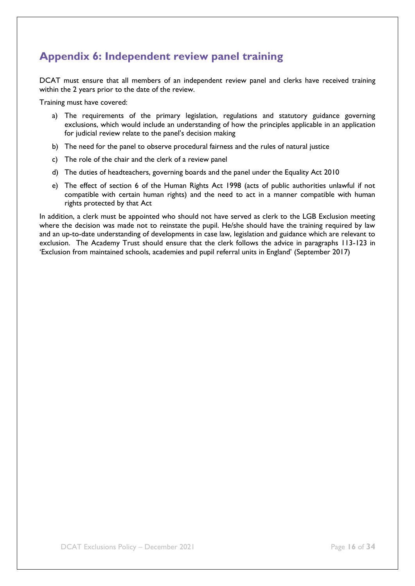# <span id="page-18-0"></span>**Appendix 6: Independent review panel training**

DCAT must ensure that all members of an independent review panel and clerks have received training within the 2 years prior to the date of the review.

Training must have covered:

- a) The requirements of the primary legislation, regulations and statutory guidance governing exclusions, which would include an understanding of how the principles applicable in an application for judicial review relate to the panel's decision making
- b) The need for the panel to observe procedural fairness and the rules of natural justice
- c) The role of the chair and the clerk of a review panel
- d) The duties of headteachers, governing boards and the panel under the Equality Act 2010
- e) The effect of section 6 of the Human Rights Act 1998 (acts of public authorities unlawful if not compatible with certain human rights) and the need to act in a manner compatible with human rights protected by that Act

In addition, a clerk must be appointed who should not have served as clerk to the LGB Exclusion meeting where the decision was made not to reinstate the pupil. He/she should have the training required by law and an up-to-date understanding of developments in case law, legislation and guidance which are relevant to exclusion. The Academy Trust should ensure that the clerk follows the advice in paragraphs 113-123 in 'Exclusion from maintained schools, academies and pupil referral units in England' (September 2017)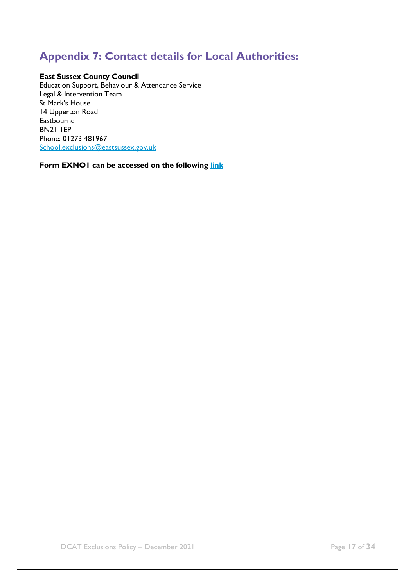# <span id="page-19-0"></span>**Appendix 7: Contact details for Local Authorities:**

#### **East Sussex County Council**

Education Support, Behaviour & Attendance Service Legal & Intervention Team St Mark's House 14 Upperton Road Eastbourne BN21 1EP Phone: 01273 481967 [School.exclusions@eastsussex.gov.uk](mailto:School.exclusions@eastsussex.gov.uk)

**Form EXNO1 can be accessed on the following [link](https://czone.eastsussex.gov.uk/student-management/children-in-care/exclusions/)**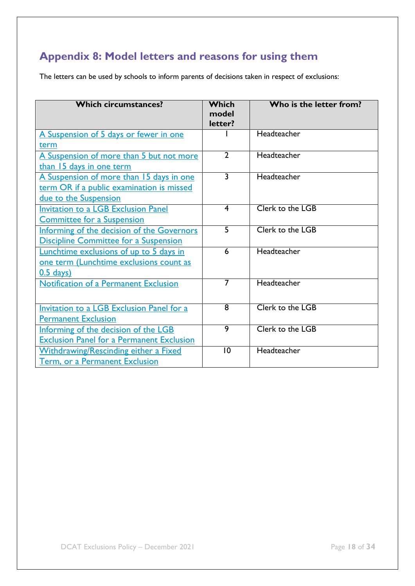# <span id="page-20-0"></span>**Appendix 8: Model letters and reasons for using them**

The letters can be used by schools to inform parents of decisions taken in respect of exclusions:

<span id="page-20-2"></span><span id="page-20-1"></span>

| <b>Which circumstances?</b>                      | Which<br>model<br>letter? | Who is the letter from? |
|--------------------------------------------------|---------------------------|-------------------------|
| A Suspension of 5 days or fewer in one           |                           | Headteacher             |
| term                                             |                           |                         |
| A Suspension of more than 5 but not more         | $\overline{2}$            | Headteacher             |
| than 15 days in one term                         |                           |                         |
| A Suspension of more than 15 days in one         | $\overline{3}$            | Headteacher             |
| <u>term OR if a public examination is missed</u> |                           |                         |
| due to the Suspension                            |                           |                         |
| <b>Invitation to a LGB Exclusion Panel</b>       | $\overline{\mathbf{4}}$   | Clerk to the LGB        |
| <b>Committee for a Suspension</b>                |                           |                         |
| Informing of the decision of the Governors       | $\overline{5}$            | Clerk to the LGB        |
| <b>Discipline Committee for a Suspension</b>     |                           |                         |
| Lunchtime exclusions of up to 5 days in          | $\overline{6}$            | Headteacher             |
| one term (Lunchtime exclusions count as          |                           |                         |
| $0.5$ days)                                      |                           |                         |
| Notification of a Permanent Exclusion            | 7                         | Headteacher             |
|                                                  |                           |                         |
| Invitation to a LGB Exclusion Panel for a        | $\overline{8}$            | Clerk to the LGB        |
| <b>Permanent Exclusion</b>                       |                           |                         |
| Informing of the decision of the LGB             | $\overline{9}$            | Clerk to the LGB        |
| <b>Exclusion Panel for a Permanent Exclusion</b> |                           |                         |
| <b>Withdrawing/Rescinding either a Fixed</b>     | $\overline{10}$           | Headteacher             |
| Term, or a Permanent Exclusion                   |                           |                         |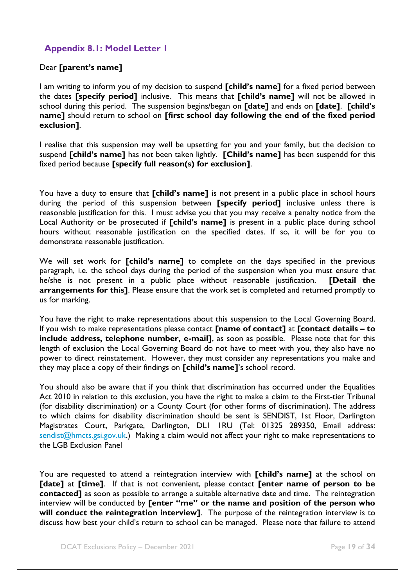### <span id="page-21-0"></span>**Appendix 8.1: Model Letter 1**

#### Dear **[parent's name]**

I am writing to inform you of my decision to suspend **[child's name]** for a fixed period between the dates **[specify period]** inclusive. This means that **[child's name]** will not be allowed in school during this period. The suspension begins/began on **[date]** and ends on **[date]**. **[child's name]** should return to school on **[first school day following the end of the fixed period exclusion]**.

I realise that this suspension may well be upsetting for you and your family, but the decision to suspend **[child's name]** has not been taken lightly. **[Child's name]** has been suspendd for this fixed period because **[specify full reason(s) for exclusion]**.

You have a duty to ensure that **[child's name]** is not present in a public place in school hours during the period of this suspension between **[specify period]** inclusive unless there is reasonable justification for this. I must advise you that you may receive a penalty notice from the Local Authority or be prosecuted if **[child's name]** is present in a public place during school hours without reasonable justification on the specified dates. If so, it will be for you to demonstrate reasonable justification.

We will set work for **[child's name]** to complete on the days specified in the previous paragraph, i.e. the school days during the period of the suspension when you must ensure that he/she is not present in a public place without reasonable justification. **[Detail the arrangements for this]**. Please ensure that the work set is completed and returned promptly to us for marking.

You have the right to make representations about this suspension to the Local Governing Board. If you wish to make representations please contact **[name of contact]** at **[contact details – to include address, telephone number, e-mail]**, as soon as possible. Please note that for this length of exclusion the Local Governing Board do not have to meet with you, they also have no power to direct reinstatement. However, they must consider any representations you make and they may place a copy of their findings on **[child's name]**'s school record.

You should also be aware that if you think that discrimination has occurred under the Equalities Act 2010 in relation to this exclusion, you have the right to make a claim to the First-tier Tribunal (for disability discrimination) or a County Court (for other forms of discrimination). The address to which claims for disability discrimination should be sent is SENDIST, 1st Floor, Darlington Magistrates Court, Parkgate, Darlington, DL1 1RU (Tel: 01325 289350, Email address: [sendist@hmcts.gsi.gov.uk.](mailto:sendist@hmcts.gsi.gov.uk)) Making a claim would not affect your right to make representations to the LGB Exclusion Panel

You are requested to attend a reintegration interview with **[child's name]** at the school on **[date]** at **[time]**. If that is not convenient, please contact **[enter name of person to be contacted]** as soon as possible to arrange a suitable alternative date and time. The reintegration interview will be conducted by **[enter "me" or the name and position of the person who will conduct the reintegration interview]**. The purpose of the reintegration interview is to discuss how best your child's return to school can be managed. Please note that failure to attend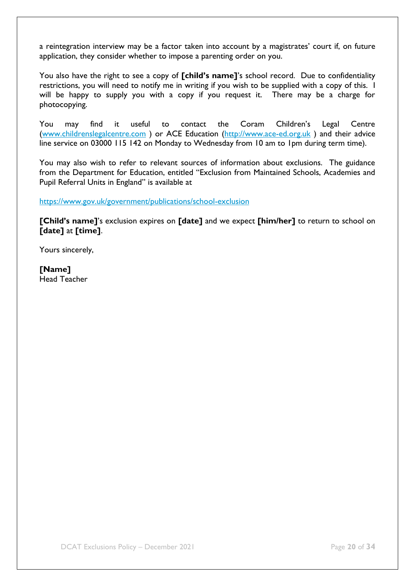a reintegration interview may be a factor taken into account by a magistrates' court if, on future application, they consider whether to impose a parenting order on you.

You also have the right to see a copy of **[child's name]**'s school record. Due to confidentiality restrictions, you will need to notify me in writing if you wish to be supplied with a copy of this. I will be happy to supply you with a copy if you request it. There may be a charge for photocopying.

You may find it useful to contact the Coram Children's Legal Centre [\(www.childrenslegalcentre.com](http://www.childrenslegalcentre.com/) ) or ACE Education [\(http://www.ace-ed.org.uk](http://www.ace-ed.org.uk/) ) and their advice line service on 03000 115 142 on Monday to Wednesday from 10 am to 1pm during term time).

You may also wish to refer to relevant sources of information about exclusions. The guidance from the Department for Education, entitled "Exclusion from Maintained Schools, Academies and Pupil Referral Units in England" is available at

<https://www.gov.uk/government/publications/school-exclusion>

**[Child's name]**'s exclusion expires on **[date]** and we expect **[him/her]** to return to school on **[date]** at **[time]**.

Yours sincerely,

<span id="page-22-0"></span>**[Name]** Head Teacher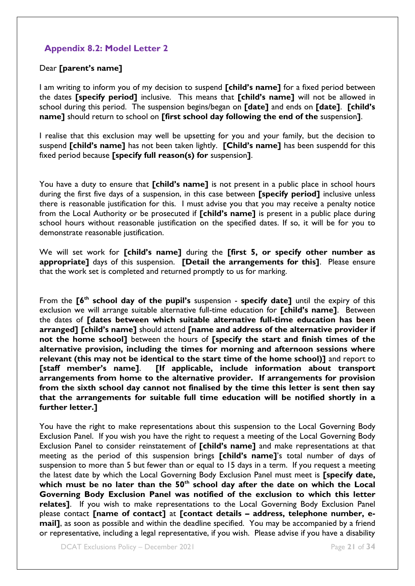### <span id="page-23-0"></span>**Appendix 8.2: Model Letter 2**

#### Dear **[parent's name]**

I am writing to inform you of my decision to suspend **[child's name]** for a fixed period between the dates **[specify period]** inclusive. This means that **[child's name]** will not be allowed in school during this period. The suspension begins/began on **[date]** and ends on **[date]**. **[child's name]** should return to school on **[first school day following the end of the** suspension**]**.

I realise that this exclusion may well be upsetting for you and your family, but the decision to suspend **[child's name]** has not been taken lightly. **[Child's name]** has been suspendd for this fixed period because **[specify full reason(s) for** suspension**]**.

You have a duty to ensure that **[child's name]** is not present in a public place in school hours during the first five days of a suspension, in this case between **[specify period]** inclusive unless there is reasonable justification for this. I must advise you that you may receive a penalty notice from the Local Authority or be prosecuted if **[child's name]** is present in a public place during school hours without reasonable justification on the specified dates. If so, it will be for you to demonstrate reasonable justification.

We will set work for **[child's name]** during the **[first 5, or specify other number as appropriate]** days of this suspension. **[Detail the arrangements for this]**.Please ensure that the work set is completed and returned promptly to us for marking.

From the **[6th school day of the pupil's** suspension - **specify date]** until the expiry of this exclusion we will arrange suitable alternative full-time education for **[child's name]**. Between the dates of **[dates between which suitable alternative full-time education has been arranged] [child's name]** should attend **[name and address of the alternative provider if not the home school]** between the hours of **[specify the start and finish times of the alternative provision, including the times for morning and afternoon sessions where relevant (this may not be identical to the start time of the home school)]** and report to **[staff member's name]**. **[If applicable, include information about transport arrangements from home to the alternative provider. If arrangements for provision from the sixth school day cannot not finalised by the time this letter is sent then say that the arrangements for suitable full time education will be notified shortly in a further letter.]**

You have the right to make representations about this suspension to the Local Governing Body Exclusion Panel. If you wish you have the right to request a meeting of the Local Governing Body Exclusion Panel to consider reinstatement of **[child's name]** and make representations at that meeting as the period of this suspension brings **[child's name]**'s total number of days of suspension to more than 5 but fewer than or equal to 15 days in a term. If you request a meeting the latest date by which the Local Governing Body Exclusion Panel must meet is **[specify date,**  which must be no later than the 50<sup>th</sup> school day after the date on which the Local **Governing Body Exclusion Panel was notified of the exclusion to which this letter relates]**. If you wish to make representations to the Local Governing Body Exclusion Panel please contact **[name of contact]** at **[contact details – address, telephone number, email]**, as soon as possible and within the deadline specified. You may be accompanied by a friend or representative, including a legal representative, if you wish. Please advise if you have a disability

**DCAT Exclusions Policy – December 2021** Page **21** of **34**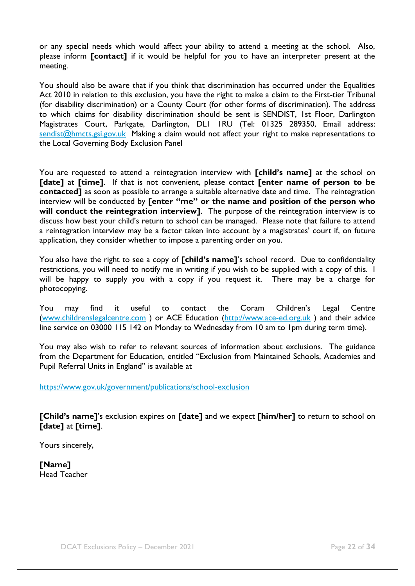or any special needs which would affect your ability to attend a meeting at the school. Also, please inform **[contact]** if it would be helpful for you to have an interpreter present at the meeting.

You should also be aware that if you think that discrimination has occurred under the Equalities Act 2010 in relation to this exclusion, you have the right to make a claim to the First-tier Tribunal (for disability discrimination) or a County Court (for other forms of discrimination). The address to which claims for disability discrimination should be sent is SENDIST, 1st Floor, Darlington Magistrates Court, Parkgate, Darlington, DL1 1RU (Tel: 01325 289350, Email address: [sendist@hmcts.gsi.gov.uk](mailto:sendist@hmcts.gsi.gov.uk) Making a claim would not affect your right to make representations to the Local Governing Body Exclusion Panel

You are requested to attend a reintegration interview with **[child's name]** at the school on **[date]** at **[time]**. If that is not convenient, please contact **[enter name of person to be contacted]** as soon as possible to arrange a suitable alternative date and time. The reintegration interview will be conducted by **[enter "me" or the name and position of the person who will conduct the reintegration interview]**. The purpose of the reintegration interview is to discuss how best your child's return to school can be managed. Please note that failure to attend a reintegration interview may be a factor taken into account by a magistrates' court if, on future application, they consider whether to impose a parenting order on you.

You also have the right to see a copy of **[child's name]**'s school record. Due to confidentiality restrictions, you will need to notify me in writing if you wish to be supplied with a copy of this. I will be happy to supply you with a copy if you request it. There may be a charge for photocopying.

You may find it useful to contact the Coram Children's Legal Centre [\(www.childrenslegalcentre.com](http://www.childrenslegalcentre.com/) ) or ACE Education [\(http://www.ace-ed.org.uk](http://www.ace-ed.org.uk/) ) and their advice line service on 03000 115 142 on Monday to Wednesday from 10 am to 1pm during term time).

You may also wish to refer to relevant sources of information about exclusions. The guidance from the Department for Education, entitled "Exclusion from Maintained Schools, Academies and Pupil Referral Units in England" is available at

<https://www.gov.uk/government/publications/school-exclusion>

**[Child's name]**'s exclusion expires on **[date]** and we expect **[him/her]** to return to school on **[date]** at **[time]**.

Yours sincerely,

**[Name]** Head Teacher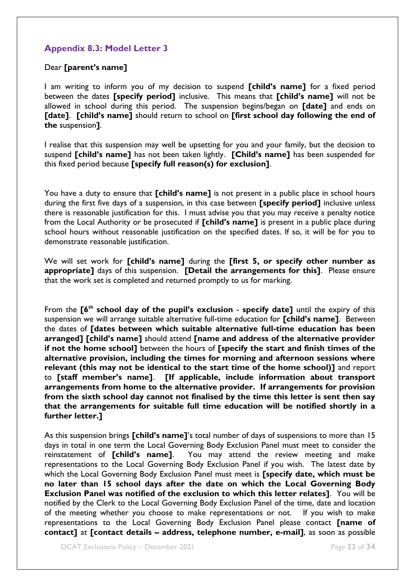### <span id="page-25-0"></span>**Appendix 8.3: Model Letter 3**

#### Dear **[parent's name]**

I am writing to inform you of my decision to suspend **[child's name]** for a fixed period between the dates **[specify period]** inclusive. This means that **[child's name]** will not be allowed in school during this period. The suspension begins/began on **[date]** and ends on **[date]**. **[child's name]** should return to school on **[first school day following the end of the** suspension**]**.

I realise that this suspension may well be upsetting for you and your family, but the decision to suspend **[child's name]** has not been taken lightly. **[Child's name]** has been suspended for this fixed period because **[specify full reason(s) for exclusion]**.

You have a duty to ensure that **[child's name]** is not present in a public place in school hours during the first five days of a suspension, in this case between **[specify period]** inclusive unless there is reasonable justification for this. I must advise you that you may receive a penalty notice from the Local Authority or be prosecuted if **[child's name]** is present in a public place during school hours without reasonable justification on the specified dates. If so, it will be for you to demonstrate reasonable justification.

We will set work for **[child's name]** during the **[first 5, or specify other number as appropriate]** days of this suspension. **[Detail the arrangements for this]**.Please ensure that the work set is completed and returned promptly to us for marking.

From the **[6th school day of the pupil's exclusion** - **specify date]** until the expiry of this suspension we will arrange suitable alternative full-time education for **[child's name]**. Between the dates of **[dates between which suitable alternative full-time education has been arranged] [child's name]** should attend **[name and address of the alternative provider if not the home school]** between the hours of **[specify the start and finish times of the alternative provision, including the times for morning and afternoon sessions where relevant (this may not be identical to the start time of the home school)]** and report to **[staff member's name]**. **[If applicable, include information about transport arrangements from home to the alternative provider. If arrangements for provision from the sixth school day cannot not finalised by the time this letter is sent then say that the arrangements for suitable full time education will be notified shortly in a further letter.]**

As this suspension brings **[child's name]**'s total number of days of suspensions to more than 15 days in total in one term the Local Governing Body Exclusion Panel must meet to consider the reinstatement of **[child's name]**. You may attend the review meeting and make representations to the Local Governing Body Exclusion Panel if you wish. The latest date by which the Local Governing Body Exclusion Panel must meet is **[specify date, which must be no later than 15 school days after the date on which the Local Governing Body Exclusion Panel was notified of the exclusion to which this letter relates]**. You will be notified by the Clerk to the Local Governing Body Exclusion Panel of the time, date and location of the meeting whether you choose to make representations or not. If you wish to make representations to the Local Governing Body Exclusion Panel please contact **[name of contact]** at **[contact details – address, telephone number, e-mail]**, as soon as possible

DCAT Exclusions Policy – December 2021 **Page 23 of 34**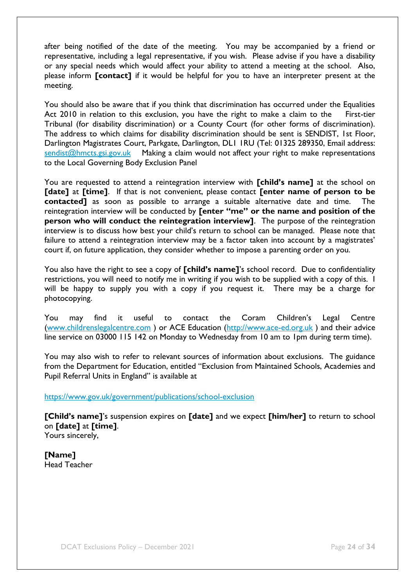after being notified of the date of the meeting. You may be accompanied by a friend or representative, including a legal representative, if you wish. Please advise if you have a disability or any special needs which would affect your ability to attend a meeting at the school. Also, please inform **[contact]** if it would be helpful for you to have an interpreter present at the meeting.

You should also be aware that if you think that discrimination has occurred under the Equalities Act 2010 in relation to this exclusion, you have the right to make a claim to the First-tier Tribunal (for disability discrimination) or a County Court (for other forms of discrimination). The address to which claims for disability discrimination should be sent is SENDIST, 1st Floor, Darlington Magistrates Court, Parkgate, Darlington, DL1 1RU (Tel: 01325 289350, Email address: [sendist@hmcts.gsi.gov.uk](mailto:sendist@hmcts.gsi.gov.uk) Making a claim would not affect your right to make representations to the Local Governing Body Exclusion Panel

You are requested to attend a reintegration interview with **[child's name]** at the school on **[date]** at **[time]**. If that is not convenient, please contact **[enter name of person to be contacted]** as soon as possible to arrange a suitable alternative date and time. The reintegration interview will be conducted by **[enter "me" or the name and position of the person who will conduct the reintegration interview]**. The purpose of the reintegration interview is to discuss how best your child's return to school can be managed. Please note that failure to attend a reintegration interview may be a factor taken into account by a magistrates' court if, on future application, they consider whether to impose a parenting order on you.

You also have the right to see a copy of **[child's name]**'s school record. Due to confidentiality restrictions, you will need to notify me in writing if you wish to be supplied with a copy of this. I will be happy to supply you with a copy if you request it. There may be a charge for photocopying.

You may find it useful to contact the Coram Children's Legal Centre [\(www.childrenslegalcentre.com](http://www.childrenslegalcentre.com/) ) or ACE Education [\(http://www.ace-ed.org.uk](http://www.ace-ed.org.uk/) ) and their advice line service on 03000 115 142 on Monday to Wednesday from 10 am to 1pm during term time).

You may also wish to refer to relevant sources of information about exclusions. The guidance from the Department for Education, entitled "Exclusion from Maintained Schools, Academies and Pupil Referral Units in England" is available at

<https://www.gov.uk/government/publications/school-exclusion>

**[Child's name]**'s suspension expires on **[date]** and we expect **[him/her]** to return to school on **[date]** at **[time]**. Yours sincerely,

**[Name]** Head Teacher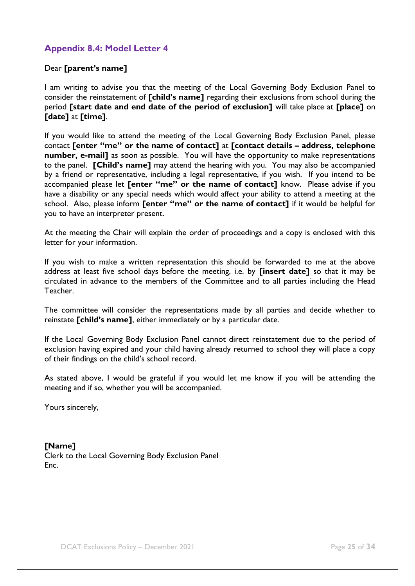### <span id="page-27-0"></span>**Appendix 8.4: Model Letter 4**

### Dear **[parent's name]**

I am writing to advise you that the meeting of the Local Governing Body Exclusion Panel to consider the reinstatement of **[child's name]** regarding their exclusions from school during the period **[start date and end date of the period of exclusion]** will take place at **[place]** on **[date]** at **[time]**.

If you would like to attend the meeting of the Local Governing Body Exclusion Panel, please contact **[enter "me" or the name of contact]** at **[contact details – address, telephone number, e-mail]** as soon as possible. You will have the opportunity to make representations to the panel. **[Child's name]** may attend the hearing with you. You may also be accompanied by a friend or representative, including a legal representative, if you wish. If you intend to be accompanied please let **[enter "me" or the name of contact]** know. Please advise if you have a disability or any special needs which would affect your ability to attend a meeting at the school. Also, please inform **[enter "me" or the name of contact]** if it would be helpful for you to have an interpreter present.

At the meeting the Chair will explain the order of proceedings and a copy is enclosed with this letter for your information.

If you wish to make a written representation this should be forwarded to me at the above address at least five school days before the meeting, i.e. by **[insert date]** so that it may be circulated in advance to the members of the Committee and to all parties including the Head Teacher.

The committee will consider the representations made by all parties and decide whether to reinstate **[child's name]**, either immediately or by a particular date.

If the Local Governing Body Exclusion Panel cannot direct reinstatement due to the period of exclusion having expired and your child having already returned to school they will place a copy of their findings on the child's school record.

As stated above, I would be grateful if you would let me know if you will be attending the meeting and if so, whether you will be accompanied.

Yours sincerely,

**[Name]** Clerk to the Local Governing Body Exclusion Panel Enc.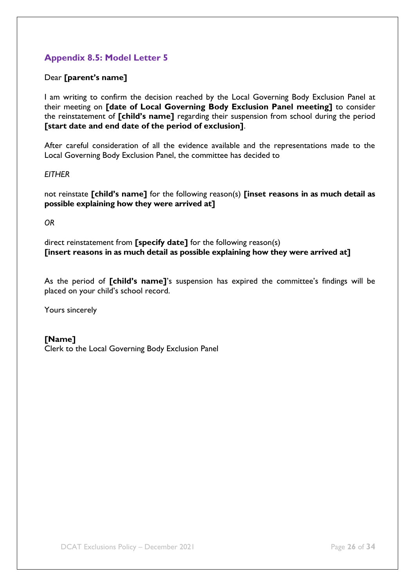### <span id="page-28-1"></span><span id="page-28-0"></span>**Appendix 8.5: Model Letter 5**

Dear **[parent's name]**

I am writing to confirm the decision reached by the Local Governing Body Exclusion Panel at their meeting on **[date of Local Governing Body Exclusion Panel meeting]** to consider the reinstatement of **[child's name]** regarding their suspension from school during the period **[start date and end date of the period of exclusion]**.

After careful consideration of all the evidence available and the representations made to the Local Governing Body Exclusion Panel, the committee has decided to

#### *EITHER*

not reinstate **[child's name]** for the following reason(s) **[inset reasons in as much detail as possible explaining how they were arrived at]**

*OR*

direct reinstatement from **[specify date]** for the following reason(s) **[insert reasons in as much detail as possible explaining how they were arrived at]**

As the period of **[child's name]**'s suspension has expired the committee's findings will be placed on your child's school record.

Yours sincerely

### **[Name]**

Clerk to the Local Governing Body Exclusion Panel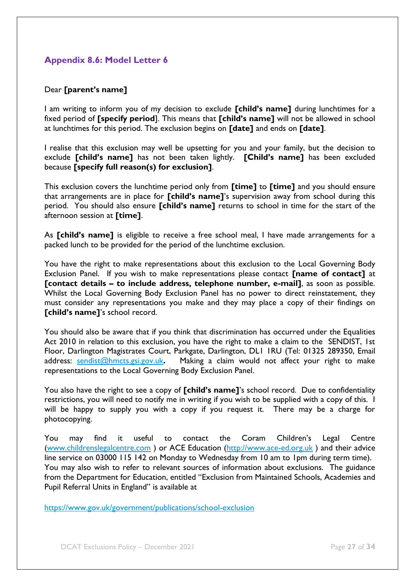### <span id="page-29-1"></span><span id="page-29-0"></span>**Appendix 8.6: Model Letter 6**

### Dear **[parent's name]**

I am writing to inform you of my decision to exclude **[child's name]** during lunchtimes for a fixed period of **[specify period**]. This means that **[child's name]** will not be allowed in school at lunchtimes for this period. The exclusion begins on **[date]** and ends on **[date]**.

I realise that this exclusion may well be upsetting for you and your family, but the decision to exclude **[child's name]** has not been taken lightly. **[Child's name]** has been excluded because **[specify full reason(s) for exclusion]**.

This exclusion covers the lunchtime period only from **[time]** to **[time]** and you should ensure that arrangements are in place for **[child's name]**'s supervision away from school during this period. You should also ensure **[child's name]** returns to school in time for the start of the afternoon session at **[time]**.

As **[child's name]** is eligible to receive a free school meal, I have made arrangements for a packed lunch to be provided for the period of the lunchtime exclusion.

You have the right to make representations about this exclusion to the Local Governing Body Exclusion Panel. If you wish to make representations please contact **[name of contact]** at **[contact details – to include address, telephone number, e-mail]**, as soon as possible. Whilst the Local Governing Body Exclusion Panel has no power to direct reinstatement, they must consider any representations you make and they may place a copy of their findings on **[child's name]**'s school record.

You should also be aware that if you think that discrimination has occurred under the Equalities Act 2010 in relation to this exclusion, you have the right to make a claim to the SENDIST, 1st Floor, Darlington Magistrates Court, Parkgate, Darlington, DL1 1RU (Tel: 01325 289350, Email address: [sendist@hmcts.gsi.gov.uk](mailto:sendist@hmcts.gsi.gov.uk)**.** Making a claim would not affect your right to make representations to the Local Governing Body Exclusion Panel.

You also have the right to see a copy of **[child's name]**'s school record. Due to confidentiality restrictions, you will need to notify me in writing if you wish to be supplied with a copy of this. I will be happy to supply you with a copy if you request it. There may be a charge for photocopying.

You may find it useful to contact the Coram Children's Legal Centre [\(www.childrenslegalcentre.com](http://www.childrenslegalcentre.com/) ) or ACE Education [\(http://www.ace-ed.org.uk](http://www.ace-ed.org.uk/) ) and their advice line service on 03000 115 142 on Monday to Wednesday from 10 am to 1pm during term time). You may also wish to refer to relevant sources of information about exclusions. The guidance from the Department for Education, entitled "Exclusion from Maintained Schools, Academies and Pupil Referral Units in England" is available at

<https://www.gov.uk/government/publications/school-exclusion>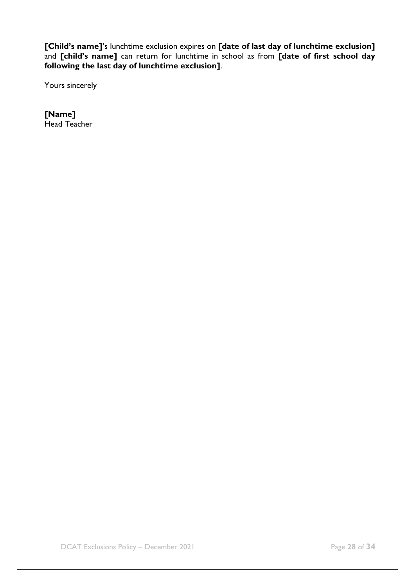**[Child's name]**'s lunchtime exclusion expires on **[date of last day of lunchtime exclusion]**  and **[child's name]** can return for lunchtime in school as from **[date of first school day following the last day of lunchtime exclusion]**.

Yours sincerely

<span id="page-30-0"></span>**[Name]** Head Teacher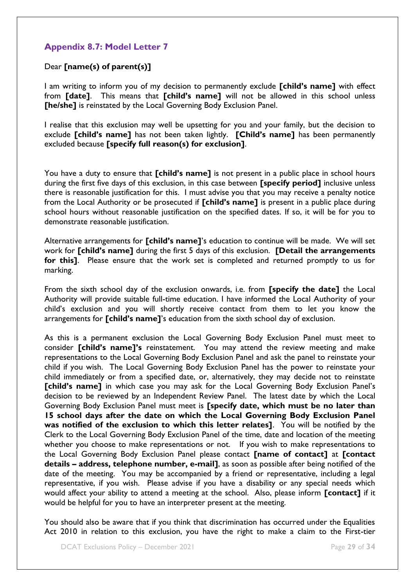### <span id="page-31-0"></span>**Appendix 8.7: Model Letter 7**

### Dear **[name(s) of parent(s)]**

I am writing to inform you of my decision to permanently exclude **[child's name]** with effect from **[date]**. This means that **[child's name]** will not be allowed in this school unless **[he/she]** is reinstated by the Local Governing Body Exclusion Panel.

I realise that this exclusion may well be upsetting for you and your family, but the decision to exclude **[child's name]** has not been taken lightly. **[Child's name]** has been permanently excluded because **[specify full reason(s) for exclusion]**.

You have a duty to ensure that **[child's name]** is not present in a public place in school hours during the first five days of this exclusion, in this case between **[specify period]** inclusive unless there is reasonable justification for this. I must advise you that you may receive a penalty notice from the Local Authority or be prosecuted if **[child's name]** is present in a public place during school hours without reasonable justification on the specified dates. If so, it will be for you to demonstrate reasonable justification.

Alternative arrangements for **[child's name]**'s education to continue will be made. We will set work for **[child's name]** during the first 5 days of this exclusion. **[Detail the arrangements for this]**.Please ensure that the work set is completed and returned promptly to us for marking.

From the sixth school day of the exclusion onwards, i.e. from **[specify the date]** the Local Authority will provide suitable full-time education. I have informed the Local Authority of your child's exclusion and you will shortly receive contact from them to let you know the arrangements for **[child's name]**'s education from the sixth school day of exclusion.

As this is a permanent exclusion the Local Governing Body Exclusion Panel must meet to consider **[child's name]'s** reinstatement. You may attend the review meeting and make representations to the Local Governing Body Exclusion Panel and ask the panel to reinstate your child if you wish. The Local Governing Body Exclusion Panel has the power to reinstate your child immediately or from a specified date, or, alternatively, they may decide not to reinstate **[child's name]** in which case you may ask for the Local Governing Body Exclusion Panel's decision to be reviewed by an Independent Review Panel. The latest date by which the Local Governing Body Exclusion Panel must meet is **[specify date, which must be no later than 15 school days after the date on which the Local Governing Body Exclusion Panel was notified of the exclusion to which this letter relates]**. You will be notified by the Clerk to the Local Governing Body Exclusion Panel of the time, date and location of the meeting whether you choose to make representations or not. If you wish to make representations to the Local Governing Body Exclusion Panel please contact **[name of contact]** at **[contact details – address, telephone number, e-mail]**, as soon as possible after being notified of the date of the meeting. You may be accompanied by a friend or representative, including a legal representative, if you wish. Please advise if you have a disability or any special needs which would affect your ability to attend a meeting at the school. Also, please inform **[contact]** if it would be helpful for you to have an interpreter present at the meeting.

You should also be aware that if you think that discrimination has occurred under the Equalities Act 2010 in relation to this exclusion, you have the right to make a claim to the First-tier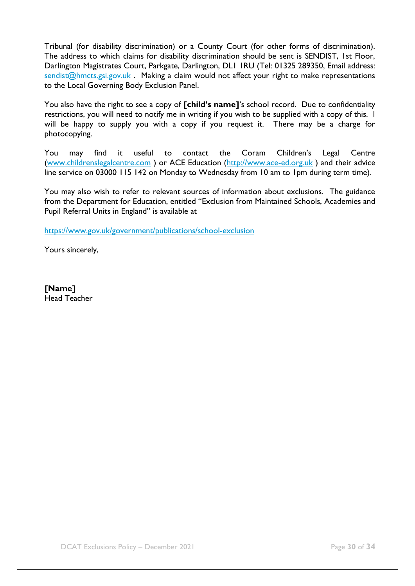Tribunal (for disability discrimination) or a County Court (for other forms of discrimination). The address to which claims for disability discrimination should be sent is SENDIST, 1st Floor, Darlington Magistrates Court, Parkgate, Darlington, DL1 1RU (Tel: 01325 289350, Email address: [sendist@hmcts.gsi.gov.uk](mailto:sendist@hmcts.gsi.gov.uk) . Making a claim would not affect your right to make representations to the Local Governing Body Exclusion Panel.

You also have the right to see a copy of **[child's name]**'s school record. Due to confidentiality restrictions, you will need to notify me in writing if you wish to be supplied with a copy of this. I will be happy to supply you with a copy if you request it. There may be a charge for photocopying.

You may find it useful to contact the Coram Children's Legal Centre [\(www.childrenslegalcentre.com](http://www.childrenslegalcentre.com/) ) or ACE Education [\(http://www.ace-ed.org.uk](http://www.ace-ed.org.uk/) ) and their advice line service on 03000 115 142 on Monday to Wednesday from 10 am to 1pm during term time).

You may also wish to refer to relevant sources of information about exclusions. The guidance from the Department for Education, entitled "Exclusion from Maintained Schools, Academies and Pupil Referral Units in England" is available at

<https://www.gov.uk/government/publications/school-exclusion>

Yours sincerely,

<span id="page-32-0"></span>**[Name]** Head Teacher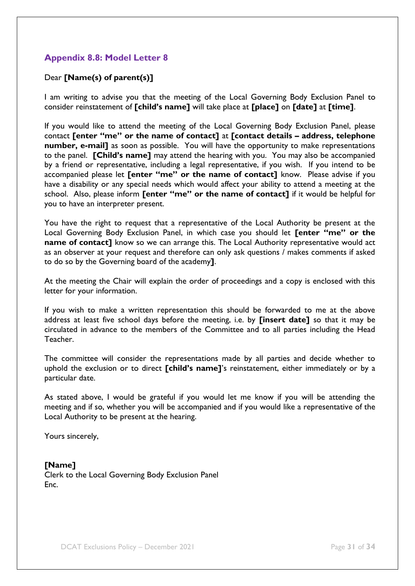### <span id="page-33-0"></span>**Appendix 8.8: Model Letter 8**

### Dear **[Name(s) of parent(s)]**

I am writing to advise you that the meeting of the Local Governing Body Exclusion Panel to consider reinstatement of **[child's name]** will take place at **[place]** on **[date]** at **[time]**.

If you would like to attend the meeting of the Local Governing Body Exclusion Panel, please contact **[enter "me" or the name of contact]** at **[contact details – address, telephone number, e-mail]** as soon as possible. You will have the opportunity to make representations to the panel. **[Child's name]** may attend the hearing with you. You may also be accompanied by a friend or representative, including a legal representative, if you wish. If you intend to be accompanied please let **[enter "me" or the name of contact]** know. Please advise if you have a disability or any special needs which would affect your ability to attend a meeting at the school. Also, please inform **[enter "me" or the name of contact]** if it would be helpful for you to have an interpreter present.

You have the right to request that a representative of the Local Authority be present at the Local Governing Body Exclusion Panel, in which case you should let **[enter "me" or the name of contact]** know so we can arrange this. The Local Authority representative would act as an observer at your request and therefore can only ask questions / makes comments if asked to do so by the Governing board of the academy**]**.

At the meeting the Chair will explain the order of proceedings and a copy is enclosed with this letter for your information.

If you wish to make a written representation this should be forwarded to me at the above address at least five school days before the meeting, i.e. by **[insert date]** so that it may be circulated in advance to the members of the Committee and to all parties including the Head Teacher.

The committee will consider the representations made by all parties and decide whether to uphold the exclusion or to direct **[child's name]**'s reinstatement, either immediately or by a particular date.

As stated above, I would be grateful if you would let me know if you will be attending the meeting and if so, whether you will be accompanied and if you would like a representative of the Local Authority to be present at the hearing.

Yours sincerely,

#### **[Name]**

Clerk to the Local Governing Body Exclusion Panel Enc.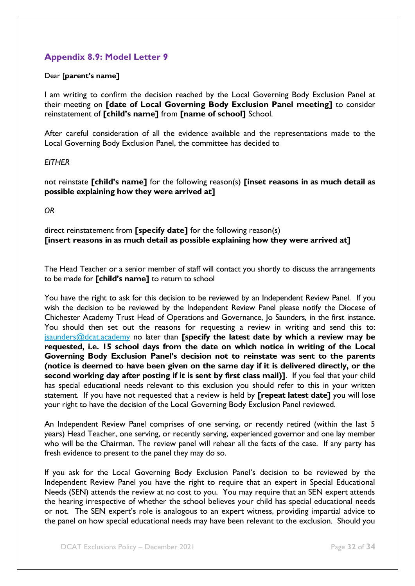### <span id="page-34-0"></span>**Appendix 8.9: Model Letter 9**

#### Dear [**parent's name]**

I am writing to confirm the decision reached by the Local Governing Body Exclusion Panel at their meeting on **[date of Local Governing Body Exclusion Panel meeting]** to consider reinstatement of **[child's name]** from **[name of school]** School.

After careful consideration of all the evidence available and the representations made to the Local Governing Body Exclusion Panel, the committee has decided to

### *EITHER*

not reinstate **[child's name]** for the following reason(s) **[inset reasons in as much detail as possible explaining how they were arrived at]**

*OR*

direct reinstatement from **[specify date]** for the following reason(s) **[insert reasons in as much detail as possible explaining how they were arrived at]**

The Head Teacher or a senior member of staff will contact you shortly to discuss the arrangements to be made for **[child's name]** to return to school

You have the right to ask for this decision to be reviewed by an Independent Review Panel. If you wish the decision to be reviewed by the Independent Review Panel please notify the Diocese of Chichester Academy Trust Head of Operations and Governance, Jo Saunders, in the first instance. You should then set out the reasons for requesting a review in writing and send this to: [jsaunders@dcat.academy](mailto:jsaunders@dcat.academy) no later than **[specify the latest date by which a review may be requested, i.e. 15 school days from the date on which notice in writing of the Local Governing Body Exclusion Panel's decision not to reinstate was sent to the parents (notice is deemed to have been given on the same day if it is delivered directly, or the second working day after posting if it is sent by first class mail)]**. If you feel that your child has special educational needs relevant to this exclusion you should refer to this in your written statement. If you have not requested that a review is held by **[repeat latest date]** you will lose your right to have the decision of the Local Governing Body Exclusion Panel reviewed.

An Independent Review Panel comprises of one serving, or recently retired (within the last 5 years) Head Teacher, one serving, or recently serving, experienced governor and one lay member who will be the Chairman. The review panel will rehear all the facts of the case. If any party has fresh evidence to present to the panel they may do so.

If you ask for the Local Governing Body Exclusion Panel's decision to be reviewed by the Independent Review Panel you have the right to require that an expert in Special Educational Needs (SEN) attends the review at no cost to you. You may require that an SEN expert attends the hearing irrespective of whether the school believes your child has special educational needs or not. The SEN expert's role is analogous to an expert witness, providing impartial advice to the panel on how special educational needs may have been relevant to the exclusion. Should you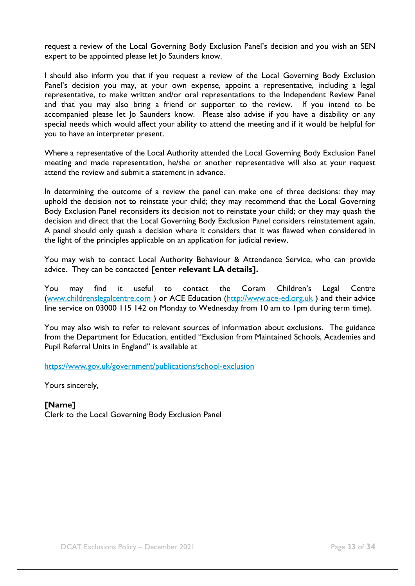request a review of the Local Governing Body Exclusion Panel's decision and you wish an SEN expert to be appointed please let Jo Saunders know.

I should also inform you that if you request a review of the Local Governing Body Exclusion Panel's decision you may, at your own expense, appoint a representative, including a legal representative, to make written and/or oral representations to the Independent Review Panel and that you may also bring a friend or supporter to the review. If you intend to be accompanied please let Jo Saunders know. Please also advise if you have a disability or any special needs which would affect your ability to attend the meeting and if it would be helpful for you to have an interpreter present.

Where a representative of the Local Authority attended the Local Governing Body Exclusion Panel meeting and made representation, he/she or another representative will also at your request attend the review and submit a statement in advance.

In determining the outcome of a review the panel can make one of three decisions: they may uphold the decision not to reinstate your child; they may recommend that the Local Governing Body Exclusion Panel reconsiders its decision not to reinstate your child; or they may quash the decision and direct that the Local Governing Body Exclusion Panel considers reinstatement again. A panel should only quash a decision where it considers that it was flawed when considered in the light of the principles applicable on an application for judicial review.

You may wish to contact Local Authority Behaviour & Attendance Service, who can provide advice. They can be contacted **[enter relevant LA details].**

You may find it useful to contact the Coram Children's Legal Centre [\(www.childrenslegalcentre.com](http://www.childrenslegalcentre.com/) ) or ACE Education [\(http://www.ace-ed.org.uk](http://www.ace-ed.org.uk/) ) and their advice line service on 03000 115 142 on Monday to Wednesday from 10 am to 1pm during term time).

You may also wish to refer to relevant sources of information about exclusions. The guidance from the Department for Education, entitled "Exclusion from Maintained Schools, Academies and Pupil Referral Units in England" is available at

<https://www.gov.uk/government/publications/school-exclusion>

Yours sincerely,

<span id="page-35-0"></span>**[Name]** Clerk to the Local Governing Body Exclusion Panel